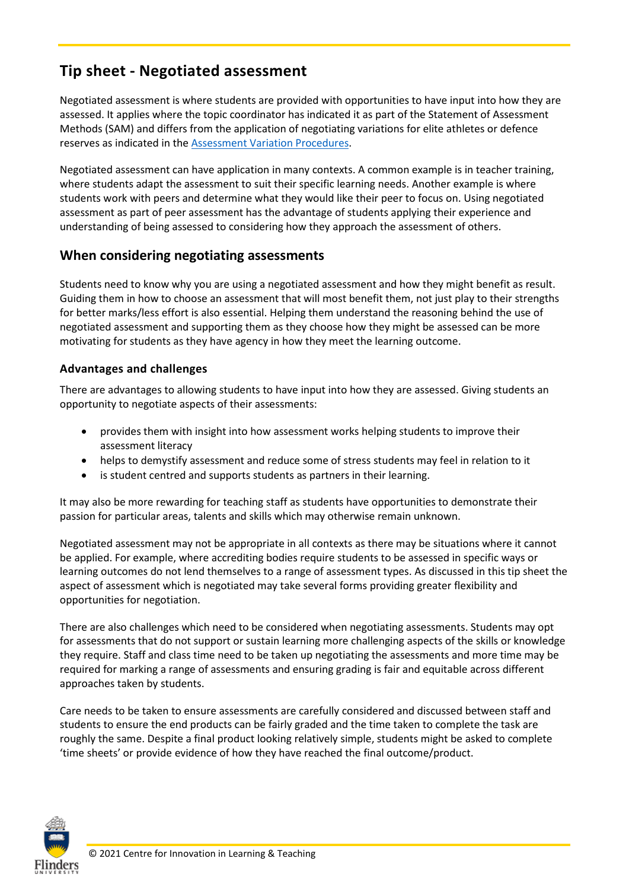# **Tip sheet - Negotiated assessment**

Negotiated assessment is where students are provided with opportunities to have input into how they are assessed. It applies where the topic coordinator has indicated it as part of the Statement of Assessment Methods (SAM) and differs from the application of negotiating variations for elite athletes or defence reserves as indicated in the [Assessment Variation Procedures.](https://www.flinders.edu.au/content/dam/documents/staff/policies/academic-students/assessment-variation-procedures.pdf)

Negotiated assessment can have application in many contexts. A common example is in teacher training, where students adapt the assessment to suit their specific learning needs. Another example is where students work with peers and determine what they would like their peer to focus on. Using negotiated assessment as part of peer assessment has the advantage of students applying their experience and understanding of being assessed to considering how they approach the assessment of others.

### **When considering negotiating assessments**

Students need to know why you are using a negotiated assessment and how they might benefit as result. Guiding them in how to choose an assessment that will most benefit them, not just play to their strengths for better marks/less effort is also essential. Helping them understand the reasoning behind the use of negotiated assessment and supporting them as they choose how they might be assessed can be more motivating for students as they have agency in how they meet the learning outcome.

#### **Advantages and challenges**

There are advantages to allowing students to have input into how they are assessed. Giving students an opportunity to negotiate aspects of their assessments:

- provides them with insight into how assessment works helping students to improve their assessment literacy
- helps to demystify assessment and reduce some of stress students may feel in relation to it
- is student centred and supports students as partners in their learning.

It may also be more rewarding for teaching staff as students have opportunities to demonstrate their passion for particular areas, talents and skills which may otherwise remain unknown.

Negotiated assessment may not be appropriate in all contexts as there may be situations where it cannot be applied. For example, where accrediting bodies require students to be assessed in specific ways or learning outcomes do not lend themselves to a range of assessment types. As discussed in this tip sheet the aspect of assessment which is negotiated may take several forms providing greater flexibility and opportunities for negotiation.

There are also challenges which need to be considered when negotiating assessments. Students may opt for assessments that do not support or sustain learning more challenging aspects of the skills or knowledge they require. Staff and class time need to be taken up negotiating the assessments and more time may be required for marking a range of assessments and ensuring grading is fair and equitable across different approaches taken by students.

Care needs to be taken to ensure assessments are carefully considered and discussed between staff and students to ensure the end products can be fairly graded and the time taken to complete the task are roughly the same. Despite a final product looking relatively simple, students might be asked to complete 'time sheets' or provide evidence of how they have reached the final outcome/product.

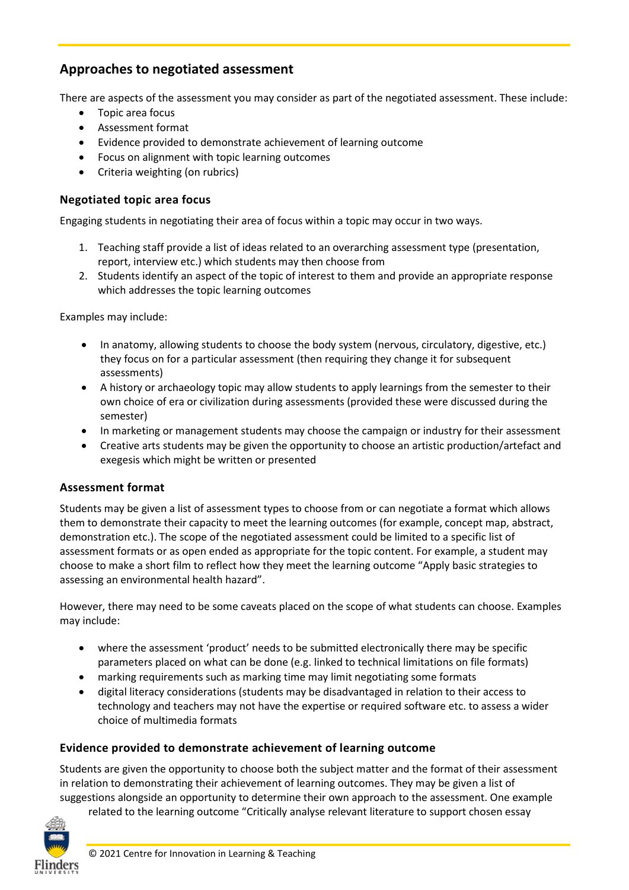# **Approaches to negotiated assessment**

There are aspects of the assessment you may consider as part of the negotiated assessment. These include:

- Topic area focus
- Assessment format
- Evidence provided to demonstrate achievement of learning outcome
- Focus on alignment with topic learning outcomes
- Criteria weighting (on rubrics)

#### **Negotiated topic area focus**

Engaging students in negotiating their area of focus within a topic may occur in two ways.

- 1. Teaching staff provide a list of ideas related to an overarching assessment type (presentation, report, interview etc.) which students may then choose from
- 2. Students identify an aspect of the topic of interest to them and provide an appropriate response which addresses the topic learning outcomes

Examples may include:

- In anatomy, allowing students to choose the body system (nervous, circulatory, digestive, etc.) they focus on for a particular assessment (then requiring they change it for subsequent assessments)
- A history or archaeology topic may allow students to apply learnings from the semester to their own choice of era or civilization during assessments (provided these were discussed during the semester)
- In marketing or management students may choose the campaign or industry for their assessment
- Creative arts students may be given the opportunity to choose an artistic production/artefact and exegesis which might be written or presented

#### **Assessment format**

Students may be given a list of assessment types to choose from or can negotiate a format which allows them to demonstrate their capacity to meet the learning outcomes (for example, concept map, abstract, demonstration etc.). The scope of the negotiated assessment could be limited to a specific list of assessment formats or as open ended as appropriate for the topic content. For example, a student may choose to make a short film to reflect how they meet the learning outcome "Apply basic strategies to assessing an environmental health hazard".

However, there may need to be some caveats placed on the scope of what students can choose. Examples may include:

- where the assessment 'product' needs to be submitted electronically there may be specific parameters placed on what can be done (e.g. linked to technical limitations on file formats)
- marking requirements such as marking time may limit negotiating some formats
- digital literacy considerations (students may be disadvantaged in relation to their access to technology and teachers may not have the expertise or required software etc. to assess a wider choice of multimedia formats

#### **Evidence provided to demonstrate achievement of learning outcome**

Students are given the opportunity to choose both the subject matter and the format of their assessment in relation to demonstrating their achievement of learning outcomes. They may be given a list of suggestions alongside an opportunity to determine their own approach to the assessment. One example related to the learning outcome "Critically analyse relevant literature to support chosen essay